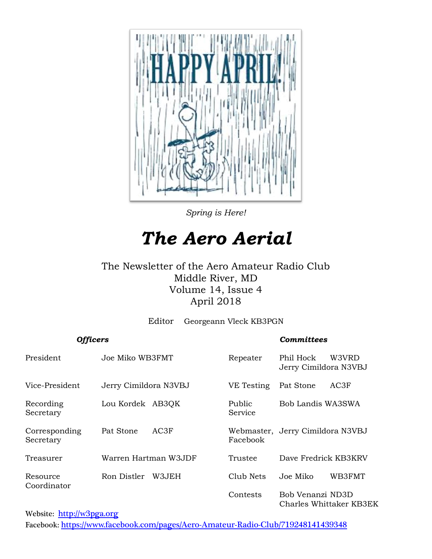

*Spring is Here!*

## *The Aero Aerial*

#### The Newsletter of the Aero Amateur Radio Club Middle River, MD Volume 14, Issue 4 April 2018

Editor Georgeann Vleck KB3PGN

| <b>Officers</b>            |                       |                   | <b>Committees</b>                           |
|----------------------------|-----------------------|-------------------|---------------------------------------------|
| President                  | Joe Miko WB3FMT       | Repeater          | Phil Hock<br>W3VRD<br>Jerry Cimildora N3VBJ |
| Vice-President             | Jerry Cimildora N3VBJ | VE Testing        | AC3F<br>Pat Stone                           |
| Recording<br>Secretary     | Lou Kordek AB3QK      | Public<br>Service | Bob Landis WA3SWA                           |
| Corresponding<br>Secretary | AC3F<br>Pat Stone     | Facebook          | Webmaster, Jerry Cimildora N3VBJ            |
| Treasurer                  | Warren Hartman W3JDF  | Trustee           | Dave Fredrick KB3KRV                        |
| Resource<br>Coordinator    | Ron Distler<br>W3JEH  | Club Nets         | WB3FMT<br>Joe Miko                          |
|                            |                       | Contests          | Bob Venanzi ND3D<br>Charles Whittaker KB3EK |

Website: [http://w](http://home.comcast.net/~frank-stone/Aero%20ARC/aero.htm)3pga.org Facebook: <https://www.facebook.com/pages/Aero-Amateur-Radio-Club/719248141439348>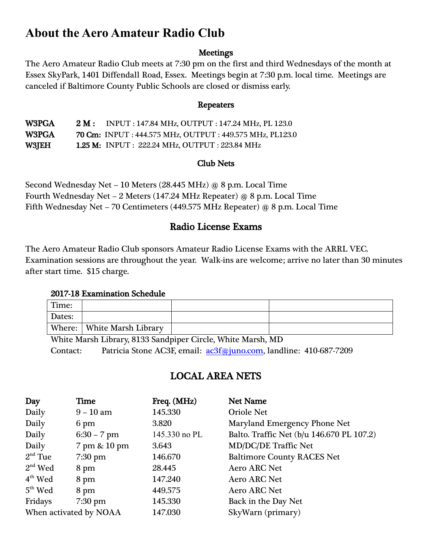## **About the Aero Amateur Radio Club**

#### **Meetings**

The Aero Amateur Radio Club meets at 7:30 pm on the first and third Wednesdays of the month at Essex SkyPark, 1401 Diffendall Road, Essex. Meetings begin at 7:30 p.m. local time. Meetings are canceled if Baltimore County Public Schools are closed or dismiss early.

#### Repeaters

W3PGA 2 M: INPUT : 147.84 MHz, OUTPUT : 147.24 MHz, PL 123.0 W3PGA 70 Cm: INPUT : 444.575 MHz, OUTPUT : 449.575 MHz, PL123.0 W3JEH 1.25 M: INPUT : 222.24 MHz, OUTPUT : 223.84 MHz

#### Club Nets

Second Wednesday Net – 10 Meters (28.445 MHz) @ 8 p.m. Local Time Fourth Wednesday Net – 2 Meters (147.24 MHz Repeater) @ 8 p.m. Local Time Fifth Wednesday Net – 70 Centimeters (449.575 MHz Repeater) @ 8 p.m. Local Time

#### Radio License Exams

The Aero Amateur Radio Club sponsors Amateur Radio License Exams with the ARRL VEC. Examination sessions are throughout the year. Walk-ins are welcome; arrive no later than 30 minutes after start time. \$15 charge.

#### 2017-18 Examination Schedule

| Time:  |                              |  |
|--------|------------------------------|--|
| Dates: |                              |  |
|        | Where:   White Marsh Library |  |

White Marsh Library, 8133 Sandpiper Circle, White Marsh, MD Contact: Patricia Stone AC3F, email: [ac3f@juno.com,](mailto:ac3f@juno.com) landline: 410-687-7209

#### LOCAL AREA NETS

| Day                    | <b>Time</b>       | Freq. (MHz)   | <b>Net Name</b>                           |
|------------------------|-------------------|---------------|-------------------------------------------|
| Daily                  | $9 - 10$ am       | 145.330       | <b>Oriole Net</b>                         |
| Daily                  | 6 pm              | 3.820         | Maryland Emergency Phone Net              |
| Daily                  | $6:30 - 7$ pm     | 145.330 no PL | Balto. Traffic Net (b/u 146.670 PL 107.2) |
| Daily                  | 7 pm & 10 pm      | 3.643         | <b>MD/DC/DE Traffic Net</b>               |
| $2nd$ Tue              | $7:30$ pm         | 146.670       | <b>Baltimore County RACES Net</b>         |
| $2nd$ Wed              | 8 pm              | 28.445        | <b>Aero ARC Net</b>                       |
| $4th$ Wed              | 8 pm              | 147.240       | <b>Aero ARC Net</b>                       |
| $5th$ Wed              | 8 pm              | 449.575       | <b>Aero ARC Net</b>                       |
| Fridays                | $7:30 \text{ pm}$ | 145.330       | Back in the Day Net                       |
| When activated by NOAA |                   | 147.030       | SkyWarn (primary)                         |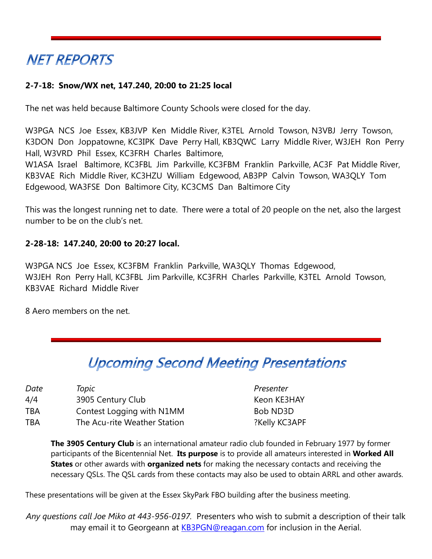## **NET REPORTS**

#### **2-7-18: Snow/WX net, 147.240, 20:00 to 21:25 local**

The net was held because Baltimore County Schools were closed for the day.

W3PGA NCS Joe Essex, KB3JVP Ken Middle River, K3TEL Arnold Towson, N3VBJ Jerry Towson, K3DON Don Joppatowne, KC3IPK Dave Perry Hall, KB3QWC Larry Middle River, W3JEH Ron Perry Hall, W3VRD Phil Essex, KC3FRH Charles Baltimore,

W1ASA Israel Baltimore, KC3FBL Jim Parkville, KC3FBM Franklin Parkville, AC3F Pat Middle River, KB3VAE Rich Middle River, KC3HZU William Edgewood, AB3PP Calvin Towson, WA3QLY Tom Edgewood, WA3FSE Don Baltimore City, KC3CMS Dan Baltimore City

This was the longest running net to date. There were a total of 20 people on the net, also the largest number to be on the club's net.

#### **2-28-18: 147.240, 20:00 to 20:27 local.**

W3PGA NCS Joe Essex, KC3FBM Franklin Parkville, WA3QLY Thomas Edgewood, W3JEH Ron Perry Hall, KC3FBL Jim Parkville, KC3FRH Charles Parkville, K3TEL Arnold Towson, KB3VAE Richard Middle River

8 Aero members on the net.

## **Upcoming Second Meeting Presentations**

| Date | Topic                        | Presenter     |
|------|------------------------------|---------------|
| 4/4  | 3905 Century Club            | Keon KE3HAY   |
| TBA  | Contest Logging with N1MM    | Bob ND3D      |
| TBA  | The Acu-rite Weather Station | ?Kelly KC3APF |

**The 3905 Century Club** is an international amateur radio club founded in February 1977 by former participants of the Bicentennial Net. **Its purpose** is to provide all amateurs interested in **Worked All States** or other awards with **organized nets** for making the necessary contacts and receiving the necessary QSLs. The QSL cards from these contacts may also be used to obtain ARRL and other awards.

These presentations will be given at the Essex SkyPark FBO building after the business meeting.

*Any questions call Joe Miko at 443-956-0197.* Presenters who wish to submit a description of their talk may email it to Georgeann at **KB3PGN@reagan.com** for inclusion in the Aerial.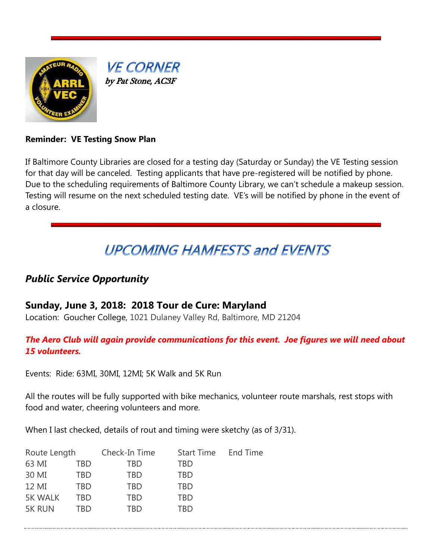

**VE CORNER** by Pat Stone, AC3F

#### **Reminder: VE Testing Snow Plan**

If Baltimore County Libraries are closed for a testing day (Saturday or Sunday) the VE Testing session for that day will be canceled. Testing applicants that have pre-registered will be notified by phone. Due to the scheduling requirements of Baltimore County Library, we can't schedule a makeup session. Testing will resume on the next scheduled testing date. VE's will be notified by phone in the event of a closure.

## **UPCOMING HAMFESTS and EVENTS**

#### *Public Service Opportunity*

#### **Sunday, June 3, 2018: 2018 Tour de Cure: Maryland**

Location: Goucher College, 1021 Dulaney Valley Rd, Baltimore, MD 21204

#### *The Aero Club will again provide communications for this event. Joe figures we will need about 15 volunteers.*

Events: Ride: 63MI, 30MI, 12MI; 5K Walk and 5K Run

All the routes will be fully supported with bike mechanics, volunteer route marshals, rest stops with food and water, cheering volunteers and more.

When I last checked, details of rout and timing were sketchy (as of 3/31).

| Route Length   |     | Check-In Time | <b>Start Time</b> | End Time |
|----------------|-----|---------------|-------------------|----------|
| 63 MI          | TBD | TBD           | TBD               |          |
| 30 MI          | TBD | TBD           | TBD               |          |
| 12 MI          | TBD | TBD           | TBD               |          |
| <b>5K WALK</b> | TRD | TBD           | TBD               |          |
| <b>5K RUN</b>  | TRD | TRD           | TRD               |          |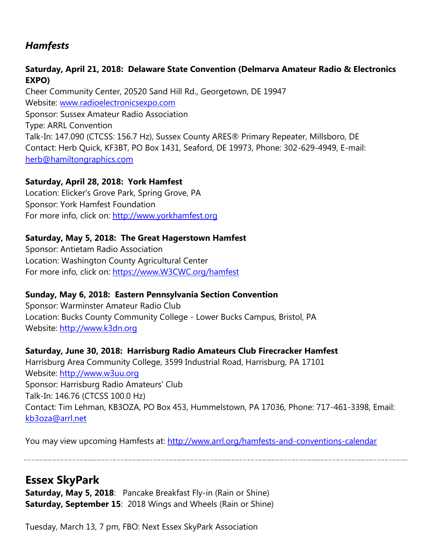#### *Hamfests*

#### **Saturday, April 21, 2018: Delaware State Convention (Delmarva Amateur Radio & Electronics EXPO)**

Cheer Community Center, 20520 Sand Hill Rd., Georgetown, DE 19947 Website: [www.radioelectronicsexpo.com](http://www.radioelectronicsexpo.com/) Sponsor: Sussex Amateur Radio Association Type: ARRL Convention Talk-In: 147.090 (CTCSS: 156.7 Hz), Sussex County ARES® Primary Repeater, Millsboro, DE Contact: Herb Quick, KF3BT, PO Box 1431, Seaford, DE 19973, Phone: 302-629-4949, E-mail: [herb@hamiltongraphics.com](mailto:herb@hamiltongraphics.com)

#### **Saturday, April 28, 2018: York Hamfest**

Location: Elicker's Grove Park, Spring Grove, PA Sponsor: York Hamfest Foundation For more info, click on: [http://www.yorkhamfest.org](http://www.yorkhamfest.org/)

#### **Saturday, May 5, 2018: The Great Hagerstown Hamfest**

Sponsor: Antietam Radio Association Location: Washington County Agricultural Center For more info, click on: [https://www.W3CWC.org/hamfest](https://www.w3cwc.org/hamfest)

#### **Sunday, May 6, 2018: Eastern Pennsylvania Section Convention**

Sponsor: Warminster Amateur Radio Club Location: Bucks County Community College - Lower Bucks Campus, Bristol, PA Website: [http://www.k3dn.org](http://www.k3dn.org/)

#### **Saturday, June 30, 2018: Harrisburg Radio Amateurs Club Firecracker Hamfest**

Harrisburg Area Community College, 3599 Industrial Road, Harrisburg, PA 17101 Website: [http://www.w3uu.org](http://www.w3uu.org/) Sponsor: Harrisburg Radio Amateurs' Club Talk-In: 146.76 (CTCSS 100.0 Hz) Contact: Tim Lehman, KB3OZA, PO Box 453, Hummelstown, PA 17036, Phone: 717-461-3398, Email: [kb3oza@arrl.net](mailto:kb3oza@arrl.net)

You may view upcoming Hamfests at:<http://www.arrl.org/hamfests-and-conventions-calendar>

### **Essex SkyPark**

**Saturday, May 5, 2018**: Pancake Breakfast Fly-in (Rain or Shine) **Saturday, September 15**: 2018 Wings and Wheels (Rain or Shine)

Tuesday, March 13, 7 pm, FBO: Next Essex SkyPark Association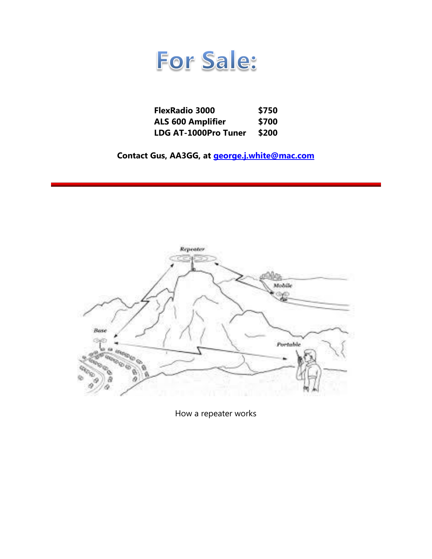

| <b>FlexRadio 3000</b>    | \$750 |
|--------------------------|-------|
| <b>ALS 600 Amplifier</b> | \$700 |
| LDG AT-1000Pro Tuner     | \$200 |

**Contact Gus, AA3GG, at [george.j.white@mac.com](mailto:george.j.white@mac.com)**



How a repeater works